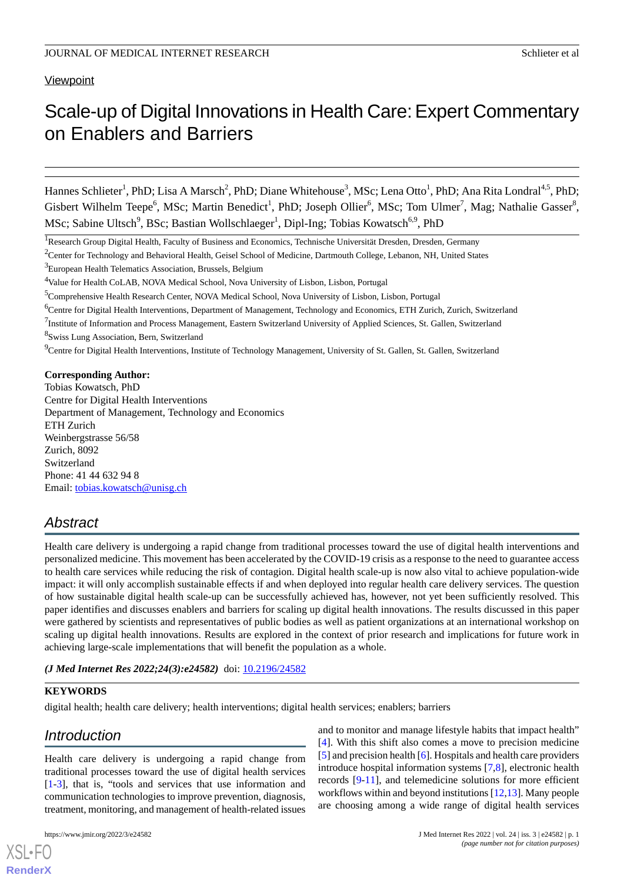# **Viewpoint**

# Scale-up of Digital Innovations in Health Care:Expert Commentary on Enablers and Barriers

Hannes Schlieter<sup>1</sup>, PhD; Lisa A Marsch<sup>2</sup>, PhD; Diane Whitehouse<sup>3</sup>, MSc; Lena Otto<sup>1</sup>, PhD; Ana Rita Londral<sup>4,5</sup>, PhD; Gisbert Wilhelm Teepe<sup>6</sup>, MSc; Martin Benedict<sup>1</sup>, PhD; Joseph Ollier<sup>6</sup>, MSc; Tom Ulmer<sup>7</sup>, Mag; Nathalie Gasser<sup>8</sup>, MSc; Sabine Ultsch<sup>9</sup>, BSc; Bastian Wollschlaeger<sup>1</sup>, Dipl-Ing; Tobias Kowatsch<sup>6,9</sup>, PhD

<sup>9</sup>Centre for Digital Health Interventions, Institute of Technology Management, University of St. Gallen, St. Gallen, Switzerland

#### **Corresponding Author:**

Tobias Kowatsch, PhD Centre for Digital Health Interventions Department of Management, Technology and Economics ETH Zurich Weinbergstrasse 56/58 Zurich, 8092 Switzerland Phone: 41 44 632 94 8 Email: [tobias.kowatsch@unisg.ch](mailto:tobias.kowatsch@unisg.ch)

# *Abstract*

Health care delivery is undergoing a rapid change from traditional processes toward the use of digital health interventions and personalized medicine. This movement has been accelerated by the COVID-19 crisis as a response to the need to guarantee access to health care services while reducing the risk of contagion. Digital health scale-up is now also vital to achieve population-wide impact: it will only accomplish sustainable effects if and when deployed into regular health care delivery services. The question of how sustainable digital health scale-up can be successfully achieved has, however, not yet been sufficiently resolved. This paper identifies and discusses enablers and barriers for scaling up digital health innovations. The results discussed in this paper were gathered by scientists and representatives of public bodies as well as patient organizations at an international workshop on scaling up digital health innovations. Results are explored in the context of prior research and implications for future work in achieving large-scale implementations that will benefit the population as a whole.

*(J Med Internet Res 2022;24(3):e24582)* doi: [10.2196/24582](http://dx.doi.org/10.2196/24582)

#### **KEYWORDS**

digital health; health care delivery; health interventions; digital health services; enablers; barriers

# *Introduction*

Health care delivery is undergoing a rapid change from traditional processes toward the use of digital health services [[1](#page-7-0)[-3](#page-7-1)], that is, "tools and services that use information and communication technologies to improve prevention, diagnosis, treatment, monitoring, and management of health-related issues

[XSL](http://www.w3.org/Style/XSL)•FO **[RenderX](http://www.renderx.com/)**

and to monitor and manage lifestyle habits that impact health" [[4\]](#page-7-2). With this shift also comes a move to precision medicine [[5\]](#page-7-3) and precision health [[6\]](#page-8-0). Hospitals and health care providers introduce hospital information systems [[7](#page-8-1),[8\]](#page-8-2), electronic health records [\[9](#page-8-3)[-11](#page-8-4)], and telemedicine solutions for more efficient workflows within and beyond institutions [\[12](#page-8-5),[13\]](#page-8-6). Many people are choosing among a wide range of digital health services

<sup>&</sup>lt;sup>1</sup>Research Group Digital Health, Faculty of Business and Economics, Technische Universität Dresden, Dresden, Germany

<sup>&</sup>lt;sup>2</sup>Center for Technology and Behavioral Health, Geisel School of Medicine, Dartmouth College, Lebanon, NH, United States

<sup>3</sup>European Health Telematics Association, Brussels, Belgium

<sup>&</sup>lt;sup>4</sup>Value for Health CoLAB, NOVA Medical School, Nova University of Lisbon, Lisbon, Portugal

<sup>5</sup>Comprehensive Health Research Center, NOVA Medical School, Nova University of Lisbon, Lisbon, Portugal

<sup>6</sup>Centre for Digital Health Interventions, Department of Management, Technology and Economics, ETH Zurich, Zurich, Switzerland

 $^7$ Institute of Information and Process Management, Eastern Switzerland University of Applied Sciences, St. Gallen, Switzerland 8 Swiss Lung Association, Bern, Switzerland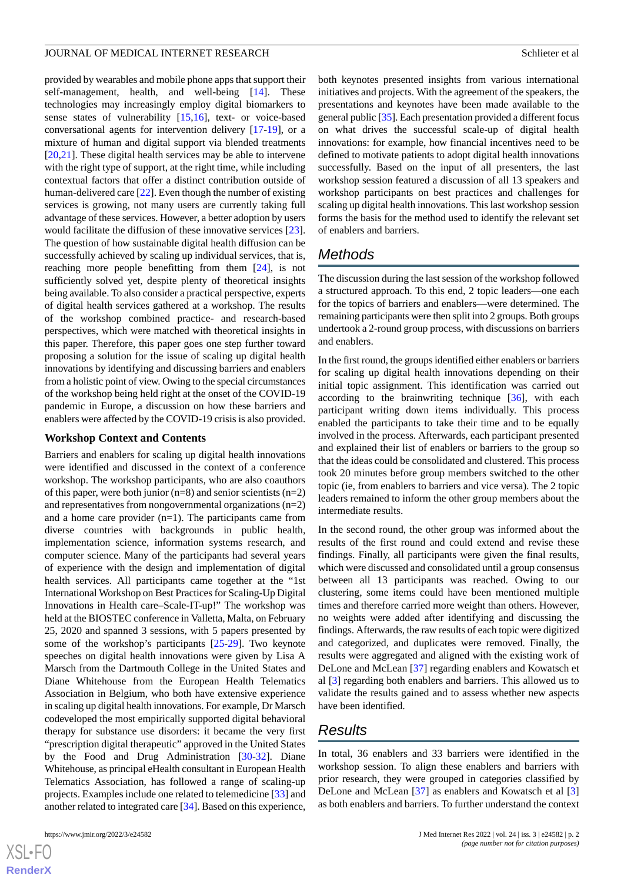provided by wearables and mobile phone apps that support their self-management, health, and well-being [[14\]](#page-8-7). These technologies may increasingly employ digital biomarkers to sense states of vulnerability [\[15](#page-8-8),[16\]](#page-8-9), text- or voice-based conversational agents for intervention delivery [[17-](#page-8-10)[19\]](#page-8-11), or a mixture of human and digital support via blended treatments [[20](#page-8-12)[,21](#page-8-13)]. These digital health services may be able to intervene with the right type of support, at the right time, while including contextual factors that offer a distinct contribution outside of human-delivered care [[22\]](#page-8-14). Even though the number of existing services is growing, not many users are currently taking full advantage of these services. However, a better adoption by users would facilitate the diffusion of these innovative services [[23\]](#page-8-15). The question of how sustainable digital health diffusion can be successfully achieved by scaling up individual services, that is, reaching more people benefitting from them [[24\]](#page-8-16), is not sufficiently solved yet, despite plenty of theoretical insights being available. To also consider a practical perspective, experts of digital health services gathered at a workshop. The results of the workshop combined practice- and research-based perspectives, which were matched with theoretical insights in this paper. Therefore, this paper goes one step further toward proposing a solution for the issue of scaling up digital health innovations by identifying and discussing barriers and enablers from a holistic point of view. Owing to the special circumstances of the workshop being held right at the onset of the COVID-19 pandemic in Europe, a discussion on how these barriers and enablers were affected by the COVID-19 crisis is also provided.

#### **Workshop Context and Contents**

Barriers and enablers for scaling up digital health innovations were identified and discussed in the context of a conference workshop. The workshop participants, who are also coauthors of this paper, were both junior ( $n=8$ ) and senior scientists ( $n=2$ ) and representatives from nongovernmental organizations (n=2) and a home care provider (n=1). The participants came from diverse countries with backgrounds in public health, implementation science, information systems research, and computer science. Many of the participants had several years of experience with the design and implementation of digital health services. All participants came together at the "1st International Workshop on Best Practices for Scaling-Up Digital Innovations in Health care–Scale-IT-up!" The workshop was held at the BIOSTEC conference in Valletta, Malta, on February 25, 2020 and spanned 3 sessions, with 5 papers presented by some of the workshop's participants [\[25](#page-8-17)[-29](#page-8-18)]. Two keynote speeches on digital health innovations were given by Lisa A Marsch from the Dartmouth College in the United States and Diane Whitehouse from the European Health Telematics Association in Belgium, who both have extensive experience in scaling up digital health innovations. For example, Dr Marsch codeveloped the most empirically supported digital behavioral therapy for substance use disorders: it became the very first "prescription digital therapeutic" approved in the United States by the Food and Drug Administration [[30-](#page-9-0)[32](#page-9-1)]. Diane Whitehouse, as principal eHealth consultant in European Health Telematics Association, has followed a range of scaling-up projects. Examples include one related to telemedicine [\[33](#page-9-2)] and another related to integrated care [\[34\]](#page-9-3). Based on this experience,

both keynotes presented insights from various international initiatives and projects. With the agreement of the speakers, the presentations and keynotes have been made available to the general public [\[35\]](#page-9-4). Each presentation provided a different focus on what drives the successful scale-up of digital health innovations: for example, how financial incentives need to be defined to motivate patients to adopt digital health innovations successfully. Based on the input of all presenters, the last workshop session featured a discussion of all 13 speakers and workshop participants on best practices and challenges for scaling up digital health innovations. This last workshop session forms the basis for the method used to identify the relevant set of enablers and barriers.

# *Methods*

The discussion during the last session of the workshop followed a structured approach. To this end, 2 topic leaders—one each for the topics of barriers and enablers—were determined. The remaining participants were then split into 2 groups. Both groups undertook a 2-round group process, with discussions on barriers and enablers.

In the first round, the groups identified either enablers or barriers for scaling up digital health innovations depending on their initial topic assignment. This identification was carried out according to the brainwriting technique  $[36]$  $[36]$ , with each participant writing down items individually. This process enabled the participants to take their time and to be equally involved in the process. Afterwards, each participant presented and explained their list of enablers or barriers to the group so that the ideas could be consolidated and clustered. This process took 20 minutes before group members switched to the other topic (ie, from enablers to barriers and vice versa). The 2 topic leaders remained to inform the other group members about the intermediate results.

In the second round, the other group was informed about the results of the first round and could extend and revise these findings. Finally, all participants were given the final results, which were discussed and consolidated until a group consensus between all 13 participants was reached. Owing to our clustering, some items could have been mentioned multiple times and therefore carried more weight than others. However, no weights were added after identifying and discussing the findings. Afterwards, the raw results of each topic were digitized and categorized, and duplicates were removed. Finally, the results were aggregated and aligned with the existing work of DeLone and McLean [\[37](#page-9-6)] regarding enablers and Kowatsch et al [[3\]](#page-7-1) regarding both enablers and barriers. This allowed us to validate the results gained and to assess whether new aspects have been identified.

# *Results*

In total, 36 enablers and 33 barriers were identified in the workshop session. To align these enablers and barriers with prior research, they were grouped in categories classified by DeLone and McLean [\[37](#page-9-6)] as enablers and Kowatsch et al [\[3](#page-7-1)] as both enablers and barriers. To further understand the context

```
XS\cdotFC
RenderX
```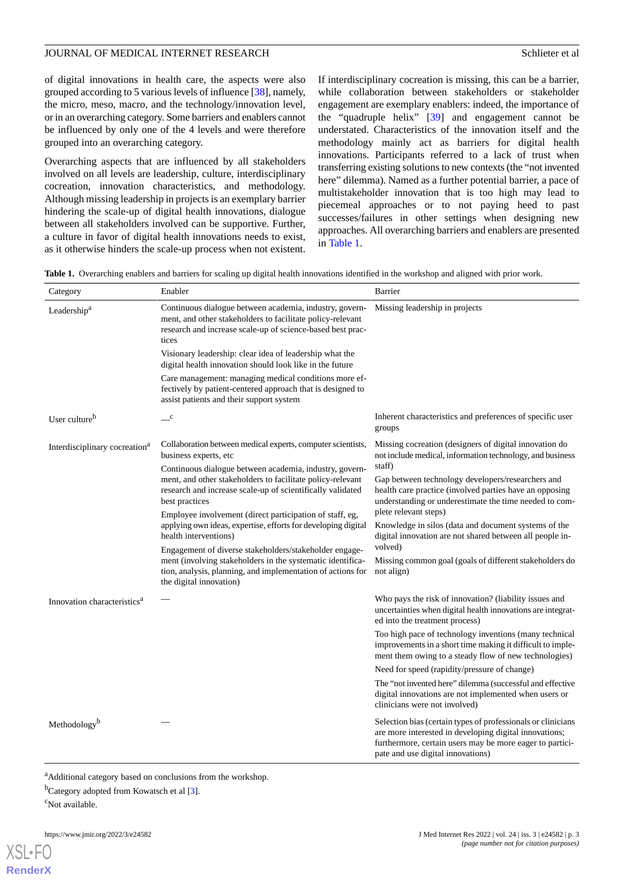of digital innovations in health care, the aspects were also grouped according to 5 various levels of influence [[38\]](#page-9-7), namely, the micro, meso, macro, and the technology/innovation level, or in an overarching category. Some barriers and enablers cannot be influenced by only one of the 4 levels and were therefore grouped into an overarching category.

Overarching aspects that are influenced by all stakeholders involved on all levels are leadership, culture, interdisciplinary cocreation, innovation characteristics, and methodology. Although missing leadership in projects is an exemplary barrier hindering the scale-up of digital health innovations, dialogue between all stakeholders involved can be supportive. Further, a culture in favor of digital health innovations needs to exist, as it otherwise hinders the scale-up process when not existent.

If interdisciplinary cocreation is missing, this can be a barrier, while collaboration between stakeholders or stakeholder engagement are exemplary enablers: indeed, the importance of the "quadruple helix" [[39\]](#page-9-8) and engagement cannot be understated. Characteristics of the innovation itself and the methodology mainly act as barriers for digital health innovations. Participants referred to a lack of trust when transferring existing solutions to new contexts (the "not invented here" dilemma). Named as a further potential barrier, a pace of multistakeholder innovation that is too high may lead to piecemeal approaches or to not paying heed to past successes/failures in other settings when designing new approaches. All overarching barriers and enablers are presented in [Table 1](#page-2-0).

<span id="page-2-0"></span>**Table 1.** Overarching enablers and barriers for scaling up digital health innovations identified in the workshop and aligned with prior work.

| Category                                                                                                                                                                                                                                                                                                                                                                                                                                                                                                                                                                                                                                                                                                           | Enabler                                                                                                                                                                                      | Barrier                                                                                                                                                                                                                 |
|--------------------------------------------------------------------------------------------------------------------------------------------------------------------------------------------------------------------------------------------------------------------------------------------------------------------------------------------------------------------------------------------------------------------------------------------------------------------------------------------------------------------------------------------------------------------------------------------------------------------------------------------------------------------------------------------------------------------|----------------------------------------------------------------------------------------------------------------------------------------------------------------------------------------------|-------------------------------------------------------------------------------------------------------------------------------------------------------------------------------------------------------------------------|
| Leadership <sup>a</sup>                                                                                                                                                                                                                                                                                                                                                                                                                                                                                                                                                                                                                                                                                            | Continuous dialogue between academia, industry, govern-<br>ment, and other stakeholders to facilitate policy-relevant<br>research and increase scale-up of science-based best prac-<br>tices | Missing leadership in projects                                                                                                                                                                                          |
|                                                                                                                                                                                                                                                                                                                                                                                                                                                                                                                                                                                                                                                                                                                    | Visionary leadership: clear idea of leadership what the<br>digital health innovation should look like in the future                                                                          |                                                                                                                                                                                                                         |
|                                                                                                                                                                                                                                                                                                                                                                                                                                                                                                                                                                                                                                                                                                                    | Care management: managing medical conditions more ef-<br>fectively by patient-centered approach that is designed to<br>assist patients and their support system                              |                                                                                                                                                                                                                         |
| User culture <sup>b</sup>                                                                                                                                                                                                                                                                                                                                                                                                                                                                                                                                                                                                                                                                                          | $\mathbf{C}$                                                                                                                                                                                 | Inherent characteristics and preferences of specific user<br>groups                                                                                                                                                     |
| Collaboration between medical experts, computer scientists,<br>Interdisciplinary cocreation <sup>a</sup><br>business experts, etc<br>Continuous dialogue between academia, industry, govern-<br>ment, and other stakeholders to facilitate policy-relevant<br>research and increase scale-up of scientifically validated<br>best practices<br>Employee involvement (direct participation of staff, eg,<br>applying own ideas, expertise, efforts for developing digital<br>health interventions)<br>Engagement of diverse stakeholders/stakeholder engage-<br>ment (involving stakeholders in the systematic identifica-<br>tion, analysis, planning, and implementation of actions for<br>the digital innovation) |                                                                                                                                                                                              | Missing cocreation (designers of digital innovation do<br>not include medical, information technology, and business                                                                                                     |
|                                                                                                                                                                                                                                                                                                                                                                                                                                                                                                                                                                                                                                                                                                                    |                                                                                                                                                                                              | staff)<br>Gap between technology developers/researchers and<br>health care practice (involved parties have an opposing<br>understanding or underestimate the time needed to com-                                        |
|                                                                                                                                                                                                                                                                                                                                                                                                                                                                                                                                                                                                                                                                                                                    | plete relevant steps)<br>Knowledge in silos (data and document systems of the<br>digital innovation are not shared between all people in-                                                    |                                                                                                                                                                                                                         |
|                                                                                                                                                                                                                                                                                                                                                                                                                                                                                                                                                                                                                                                                                                                    |                                                                                                                                                                                              | volved)<br>Missing common goal (goals of different stakeholders do<br>not align)                                                                                                                                        |
| Innovation characteristics <sup>a</sup>                                                                                                                                                                                                                                                                                                                                                                                                                                                                                                                                                                                                                                                                            |                                                                                                                                                                                              | Who pays the risk of innovation? (liability issues and<br>uncertainties when digital health innovations are integrat-<br>ed into the treatment process)                                                                 |
|                                                                                                                                                                                                                                                                                                                                                                                                                                                                                                                                                                                                                                                                                                                    |                                                                                                                                                                                              | Too high pace of technology inventions (many technical<br>improvements in a short time making it difficult to imple-<br>ment them owing to a steady flow of new technologies)                                           |
|                                                                                                                                                                                                                                                                                                                                                                                                                                                                                                                                                                                                                                                                                                                    |                                                                                                                                                                                              | Need for speed (rapidity/pressure of change)                                                                                                                                                                            |
|                                                                                                                                                                                                                                                                                                                                                                                                                                                                                                                                                                                                                                                                                                                    |                                                                                                                                                                                              | The "not invented here" dilemma (successful and effective<br>digital innovations are not implemented when users or<br>clinicians were not involved)                                                                     |
| Methodology <sup>b</sup>                                                                                                                                                                                                                                                                                                                                                                                                                                                                                                                                                                                                                                                                                           |                                                                                                                                                                                              | Selection bias (certain types of professionals or clinicians<br>are more interested in developing digital innovations;<br>furthermore, certain users may be more eager to partici-<br>pate and use digital innovations) |

<sup>a</sup>Additional category based on conclusions from the workshop.

 $<sup>b</sup>$ Category adopted from Kowatsch et al [[3\]](#page-7-1).</sup>

<sup>c</sup>Not available.

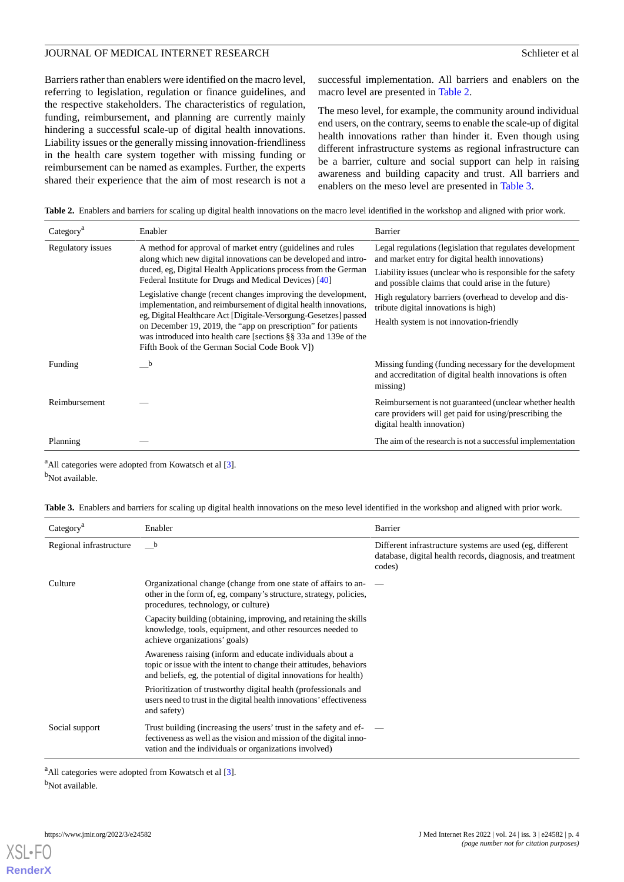Barriers rather than enablers were identified on the macro level, referring to legislation, regulation or finance guidelines, and the respective stakeholders. The characteristics of regulation, funding, reimbursement, and planning are currently mainly hindering a successful scale-up of digital health innovations. Liability issues or the generally missing innovation-friendliness in the health care system together with missing funding or reimbursement can be named as examples. Further, the experts shared their experience that the aim of most research is not a successful implementation. All barriers and enablers on the macro level are presented in [Table 2.](#page-3-0)

The meso level, for example, the community around individual end users, on the contrary, seems to enable the scale-up of digital health innovations rather than hinder it. Even though using different infrastructure systems as regional infrastructure can be a barrier, culture and social support can help in raising awareness and building capacity and trust. All barriers and enablers on the meso level are presented in [Table 3](#page-3-1).

<span id="page-3-0"></span>Table 2. Enablers and barriers for scaling up digital health innovations on the macro level identified in the workshop and aligned with prior work.

| Category <sup>a</sup> | Enabler                                                                                                                                                                                                                                                                                                                                                                                    | Barrier                                                                                                                                          |
|-----------------------|--------------------------------------------------------------------------------------------------------------------------------------------------------------------------------------------------------------------------------------------------------------------------------------------------------------------------------------------------------------------------------------------|--------------------------------------------------------------------------------------------------------------------------------------------------|
| Regulatory issues     | A method for approval of market entry (guidelines and rules<br>along which new digital innovations can be developed and intro-<br>duced, eg, Digital Health Applications process from the German<br>Federal Institute for Drugs and Medical Devices) [40]                                                                                                                                  | Legal regulations (legislation that regulates development<br>and market entry for digital health innovations)                                    |
|                       |                                                                                                                                                                                                                                                                                                                                                                                            | Liability issues (unclear who is responsible for the safety<br>and possible claims that could arise in the future)                               |
|                       | Legislative change (recent changes improving the development,<br>implementation, and reimbursement of digital health innovations,<br>eg, Digital Healthcare Act [Digitale-Versorgung-Gesetzes] passed<br>on December 19, 2019, the "app on prescription" for patients<br>was introduced into health care [sections §§ 33a and 139e of the<br>Fifth Book of the German Social Code Book VI) | High regulatory barriers (overhead to develop and dis-<br>tribute digital innovations is high)                                                   |
|                       |                                                                                                                                                                                                                                                                                                                                                                                            | Health system is not innovation-friendly                                                                                                         |
| Funding               | b                                                                                                                                                                                                                                                                                                                                                                                          | Missing funding (funding necessary for the development<br>and accreditation of digital health innovations is often<br>missing)                   |
| Reimbursement         |                                                                                                                                                                                                                                                                                                                                                                                            | Reimbursement is not guaranteed (unclear whether health)<br>care providers will get paid for using/prescribing the<br>digital health innovation) |
| Planning              |                                                                                                                                                                                                                                                                                                                                                                                            | The aim of the research is not a successful implementation                                                                                       |

<span id="page-3-1"></span><sup>a</sup>All categories were adopted from Kowatsch et al [\[3](#page-7-1)].

b<sub>Not available.</sub>

|  | Table 3. Enablers and barriers for scaling up digital health innovations on the meso level identified in the workshop and aligned with prior work. |  |  |  |
|--|----------------------------------------------------------------------------------------------------------------------------------------------------|--|--|--|
|  |                                                                                                                                                    |  |  |  |

| Category <sup>a</sup>   | Enabler                                                                                                                                                                                                    | Barrier                                                                                                                          |
|-------------------------|------------------------------------------------------------------------------------------------------------------------------------------------------------------------------------------------------------|----------------------------------------------------------------------------------------------------------------------------------|
| Regional infrastructure | b                                                                                                                                                                                                          | Different infrastructure systems are used (eg, different<br>database, digital health records, diagnosis, and treatment<br>codes) |
| Culture                 | Organizational change (change from one state of affairs to an-<br>other in the form of, eg, company's structure, strategy, policies,<br>procedures, technology, or culture)                                |                                                                                                                                  |
|                         | Capacity building (obtaining, improving, and retaining the skills<br>knowledge, tools, equipment, and other resources needed to<br>achieve organizations' goals)                                           |                                                                                                                                  |
|                         | Awareness raising (inform and educate individuals about a<br>topic or issue with the intent to change their attitudes, behaviors<br>and beliefs, eg, the potential of digital innovations for health)      |                                                                                                                                  |
|                         | Prioritization of trustworthy digital health (professionals and<br>users need to trust in the digital health innovations' effectiveness<br>and safety)                                                     |                                                                                                                                  |
| Social support          | Trust building (increasing the users' trust in the safety and $ef$ $\qquad$<br>fectiveness as well as the vision and mission of the digital inno-<br>vation and the individuals or organizations involved) |                                                                                                                                  |

<sup>a</sup>All categories were adopted from Kowatsch et al [\[3](#page-7-1)].

<sup>b</sup>Not available.

[XSL](http://www.w3.org/Style/XSL)∙FC **[RenderX](http://www.renderx.com/)**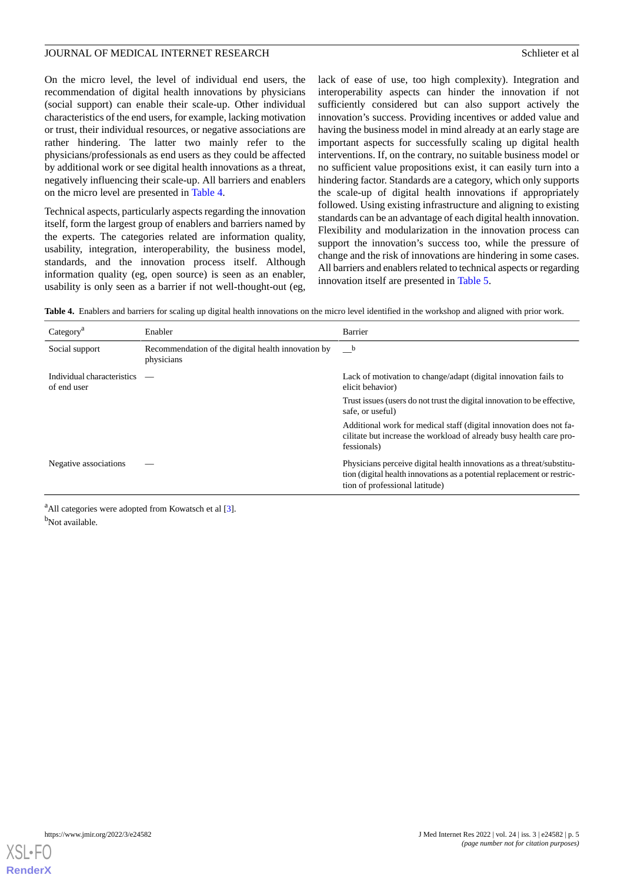On the micro level, the level of individual end users, the recommendation of digital health innovations by physicians (social support) can enable their scale-up. Other individual characteristics of the end users, for example, lacking motivation or trust, their individual resources, or negative associations are rather hindering. The latter two mainly refer to the physicians/professionals as end users as they could be affected by additional work or see digital health innovations as a threat, negatively influencing their scale-up. All barriers and enablers on the micro level are presented in [Table 4](#page-4-0).

Technical aspects, particularly aspects regarding the innovation itself, form the largest group of enablers and barriers named by the experts. The categories related are information quality, usability, integration, interoperability, the business model, standards, and the innovation process itself. Although information quality (eg, open source) is seen as an enabler, usability is only seen as a barrier if not well-thought-out (eg,

lack of ease of use, too high complexity). Integration and interoperability aspects can hinder the innovation if not sufficiently considered but can also support actively the innovation's success. Providing incentives or added value and having the business model in mind already at an early stage are important aspects for successfully scaling up digital health interventions. If, on the contrary, no suitable business model or no sufficient value propositions exist, it can easily turn into a hindering factor. Standards are a category, which only supports the scale-up of digital health innovations if appropriately followed. Using existing infrastructure and aligning to existing standards can be an advantage of each digital health innovation. Flexibility and modularization in the innovation process can support the innovation's success too, while the pressure of change and the risk of innovations are hindering in some cases. All barriers and enablers related to technical aspects or regarding innovation itself are presented in [Table 5](#page-5-0).

<span id="page-4-0"></span>**Table 4.** Enablers and barriers for scaling up digital health innovations on the micro level identified in the workshop and aligned with prior work.

| Category <sup>a</sup>                     | Enabler                                                          | Barrier                                                                                                                                                                           |
|-------------------------------------------|------------------------------------------------------------------|-----------------------------------------------------------------------------------------------------------------------------------------------------------------------------------|
| Social support                            | Recommendation of the digital health innovation by<br>physicians | $\mathbf{b}$                                                                                                                                                                      |
| Individual characteristics<br>of end user |                                                                  | Lack of motivation to change/adapt (digital innovation fails to<br>elicit behavior)                                                                                               |
|                                           |                                                                  | Trust issues (users do not trust the digital innovation to be effective,<br>safe, or useful)                                                                                      |
|                                           |                                                                  | Additional work for medical staff (digital innovation does not fa-<br>cilitate but increase the workload of already busy health care pro-<br>fessionals)                          |
| Negative associations                     |                                                                  | Physicians perceive digital health innovations as a threat/substitu-<br>tion (digital health innovations as a potential replacement or restric-<br>tion of professional latitude) |
|                                           |                                                                  |                                                                                                                                                                                   |

<sup>a</sup>All categories were adopted from Kowatsch et al [\[3](#page-7-1)]. b<sub>Not available.</sub>

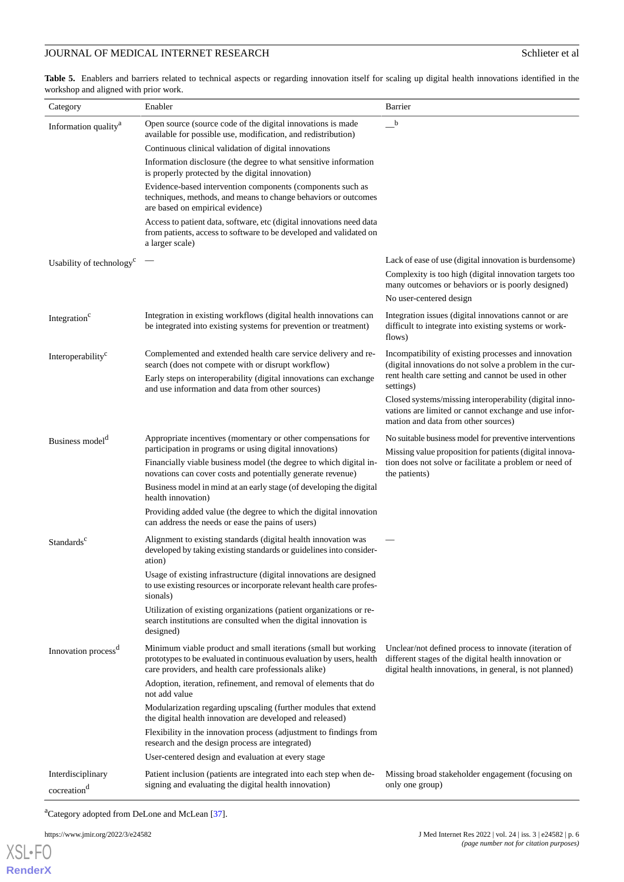# **JOURNAL OF MEDICAL INTERNET RESEARCH Schlieter et al.** Schlieter et al.

<span id="page-5-0"></span>Table 5. Enablers and barriers related to technical aspects or regarding innovation itself for scaling up digital health innovations identified in the workshop and aligned with prior work.

| Category                                     | Enabler                                                                                                                                                                                        | Barrier                                                                                                                                                                              |
|----------------------------------------------|------------------------------------------------------------------------------------------------------------------------------------------------------------------------------------------------|--------------------------------------------------------------------------------------------------------------------------------------------------------------------------------------|
| Information quality <sup>a</sup>             | Open source (source code of the digital innovations is made<br>available for possible use, modification, and redistribution)                                                                   | $\mathbf{b}$                                                                                                                                                                         |
|                                              | Continuous clinical validation of digital innovations                                                                                                                                          |                                                                                                                                                                                      |
|                                              | Information disclosure (the degree to what sensitive information<br>is properly protected by the digital innovation)                                                                           |                                                                                                                                                                                      |
|                                              | Evidence-based intervention components (components such as<br>techniques, methods, and means to change behaviors or outcomes<br>are based on empirical evidence)                               |                                                                                                                                                                                      |
|                                              | Access to patient data, software, etc (digital innovations need data<br>from patients, access to software to be developed and validated on<br>a larger scale)                                  |                                                                                                                                                                                      |
| Usability of technology <sup>c</sup>         |                                                                                                                                                                                                | Lack of ease of use (digital innovation is burdensome)<br>Complexity is too high (digital innovation targets too<br>many outcomes or behaviors or is poorly designed)                |
|                                              |                                                                                                                                                                                                | No user-centered design                                                                                                                                                              |
| Integration <sup>c</sup>                     | Integration in existing workflows (digital health innovations can<br>be integrated into existing systems for prevention or treatment)                                                          | Integration issues (digital innovations cannot or are<br>difficult to integrate into existing systems or work-<br>flows)                                                             |
| Interoperability <sup>c</sup>                | Complemented and extended health care service delivery and re-<br>search (does not compete with or disrupt workflow)<br>Early steps on interoperability (digital innovations can exchange      | Incompatibility of existing processes and innovation<br>(digital innovations do not solve a problem in the cur-<br>rent health care setting and cannot be used in other<br>settings) |
|                                              | and use information and data from other sources)                                                                                                                                               | Closed systems/missing interoperability (digital inno-<br>vations are limited or cannot exchange and use infor-<br>mation and data from other sources)                               |
| Business model <sup>d</sup>                  | Appropriate incentives (momentary or other compensations for<br>participation in programs or using digital innovations)                                                                        | No suitable business model for preventive interventions                                                                                                                              |
|                                              | Financially viable business model (the degree to which digital in-<br>novations can cover costs and potentially generate revenue)                                                              | Missing value proposition for patients (digital innova-<br>tion does not solve or facilitate a problem or need of<br>the patients)                                                   |
|                                              | Business model in mind at an early stage (of developing the digital<br>health innovation)                                                                                                      |                                                                                                                                                                                      |
|                                              | Providing added value (the degree to which the digital innovation<br>can address the needs or ease the pains of users)                                                                         |                                                                                                                                                                                      |
| Standards <sup>c</sup>                       | Alignment to existing standards (digital health innovation was<br>developed by taking existing standards or guidelines into consider-<br>ation)                                                |                                                                                                                                                                                      |
|                                              | Usage of existing infrastructure (digital innovations are designed<br>to use existing resources or incorporate relevant health care profes-<br>sionals)                                        |                                                                                                                                                                                      |
|                                              | Utilization of existing organizations (patient organizations or re-<br>search institutions are consulted when the digital innovation is<br>designed)                                           |                                                                                                                                                                                      |
| Innovation process <sup>d</sup>              | Minimum viable product and small iterations (small but working<br>prototypes to be evaluated in continuous evaluation by users, health<br>care providers, and health care professionals alike) | Unclear/not defined process to innovate (iteration of<br>different stages of the digital health innovation or<br>digital health innovations, in general, is not planned)             |
|                                              | Adoption, iteration, refinement, and removal of elements that do<br>not add value                                                                                                              |                                                                                                                                                                                      |
|                                              | Modularization regarding upscaling (further modules that extend<br>the digital health innovation are developed and released)                                                                   |                                                                                                                                                                                      |
|                                              | Flexibility in the innovation process (adjustment to findings from<br>research and the design process are integrated)                                                                          |                                                                                                                                                                                      |
|                                              | User-centered design and evaluation at every stage                                                                                                                                             |                                                                                                                                                                                      |
| Interdisciplinary<br>cocreation <sup>d</sup> | Patient inclusion (patients are integrated into each step when de-<br>signing and evaluating the digital health innovation)                                                                    | Missing broad stakeholder engagement (focusing on<br>only one group)                                                                                                                 |

<sup>a</sup>Category adopted from DeLone and McLean [[37](#page-9-6)].

https://www.jmir.org/2022/3/e24582 J Med Internet Res 2022 | vol. 24 | iss. 3 | e24582 | p. 6

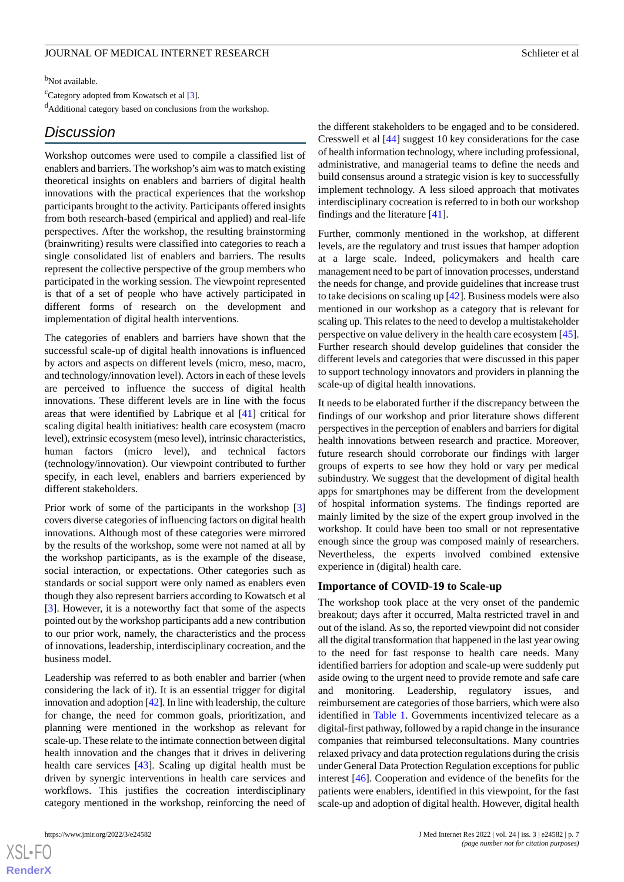<sup>b</sup>Not available.

<sup>c</sup>Category adopted from Kowatsch et al [\[3\]](#page-7-1).

<sup>d</sup>Additional category based on conclusions from the workshop.

# *Discussion*

Workshop outcomes were used to compile a classified list of enablers and barriers. The workshop's aim was to match existing theoretical insights on enablers and barriers of digital health innovations with the practical experiences that the workshop participants brought to the activity. Participants offered insights from both research-based (empirical and applied) and real-life perspectives. After the workshop, the resulting brainstorming (brainwriting) results were classified into categories to reach a single consolidated list of enablers and barriers. The results represent the collective perspective of the group members who participated in the working session. The viewpoint represented is that of a set of people who have actively participated in different forms of research on the development and implementation of digital health interventions.

The categories of enablers and barriers have shown that the successful scale-up of digital health innovations is influenced by actors and aspects on different levels (micro, meso, macro, and technology/innovation level). Actors in each of these levels are perceived to influence the success of digital health innovations. These different levels are in line with the focus areas that were identified by Labrique et al [[41\]](#page-9-10) critical for scaling digital health initiatives: health care ecosystem (macro level), extrinsic ecosystem (meso level), intrinsic characteristics, human factors (micro level), and technical factors (technology/innovation). Our viewpoint contributed to further specify, in each level, enablers and barriers experienced by different stakeholders.

Prior work of some of the participants in the workshop [\[3](#page-7-1)] covers diverse categories of influencing factors on digital health innovations. Although most of these categories were mirrored by the results of the workshop, some were not named at all by the workshop participants, as is the example of the disease, social interaction, or expectations. Other categories such as standards or social support were only named as enablers even though they also represent barriers according to Kowatsch et al [[3\]](#page-7-1). However, it is a noteworthy fact that some of the aspects pointed out by the workshop participants add a new contribution to our prior work, namely, the characteristics and the process of innovations, leadership, interdisciplinary cocreation, and the business model.

Leadership was referred to as both enabler and barrier (when considering the lack of it). It is an essential trigger for digital innovation and adoption [[42\]](#page-9-11). In line with leadership, the culture for change, the need for common goals, prioritization, and planning were mentioned in the workshop as relevant for scale-up. These relate to the intimate connection between digital health innovation and the changes that it drives in delivering health care services [[43\]](#page-9-12). Scaling up digital health must be driven by synergic interventions in health care services and workflows. This justifies the cocreation interdisciplinary category mentioned in the workshop, reinforcing the need of

 $XS$  $\cdot$ FC **[RenderX](http://www.renderx.com/)** the different stakeholders to be engaged and to be considered. Cresswell et al [\[44](#page-9-13)] suggest 10 key considerations for the case of health information technology, where including professional, administrative, and managerial teams to define the needs and build consensus around a strategic vision is key to successfully implement technology. A less siloed approach that motivates interdisciplinary cocreation is referred to in both our workshop findings and the literature [\[41](#page-9-10)].

Further, commonly mentioned in the workshop, at different levels, are the regulatory and trust issues that hamper adoption at a large scale. Indeed, policymakers and health care management need to be part of innovation processes, understand the needs for change, and provide guidelines that increase trust to take decisions on scaling up [[42\]](#page-9-11). Business models were also mentioned in our workshop as a category that is relevant for scaling up. This relates to the need to develop a multistakeholder perspective on value delivery in the health care ecosystem [[45\]](#page-9-14). Further research should develop guidelines that consider the different levels and categories that were discussed in this paper to support technology innovators and providers in planning the scale-up of digital health innovations.

It needs to be elaborated further if the discrepancy between the findings of our workshop and prior literature shows different perspectives in the perception of enablers and barriers for digital health innovations between research and practice. Moreover, future research should corroborate our findings with larger groups of experts to see how they hold or vary per medical subindustry. We suggest that the development of digital health apps for smartphones may be different from the development of hospital information systems. The findings reported are mainly limited by the size of the expert group involved in the workshop. It could have been too small or not representative enough since the group was composed mainly of researchers. Nevertheless, the experts involved combined extensive experience in (digital) health care.

#### **Importance of COVID-19 to Scale-up**

The workshop took place at the very onset of the pandemic breakout; days after it occurred, Malta restricted travel in and out of the island. As so, the reported viewpoint did not consider all the digital transformation that happened in the last year owing to the need for fast response to health care needs. Many identified barriers for adoption and scale-up were suddenly put aside owing to the urgent need to provide remote and safe care and monitoring. Leadership, regulatory issues, and reimbursement are categories of those barriers, which were also identified in [Table 1.](#page-2-0) Governments incentivized telecare as a digital-first pathway, followed by a rapid change in the insurance companies that reimbursed teleconsultations. Many countries relaxed privacy and data protection regulations during the crisis under General Data Protection Regulation exceptions for public interest [\[46](#page-9-15)]. Cooperation and evidence of the benefits for the patients were enablers, identified in this viewpoint, for the fast scale-up and adoption of digital health. However, digital health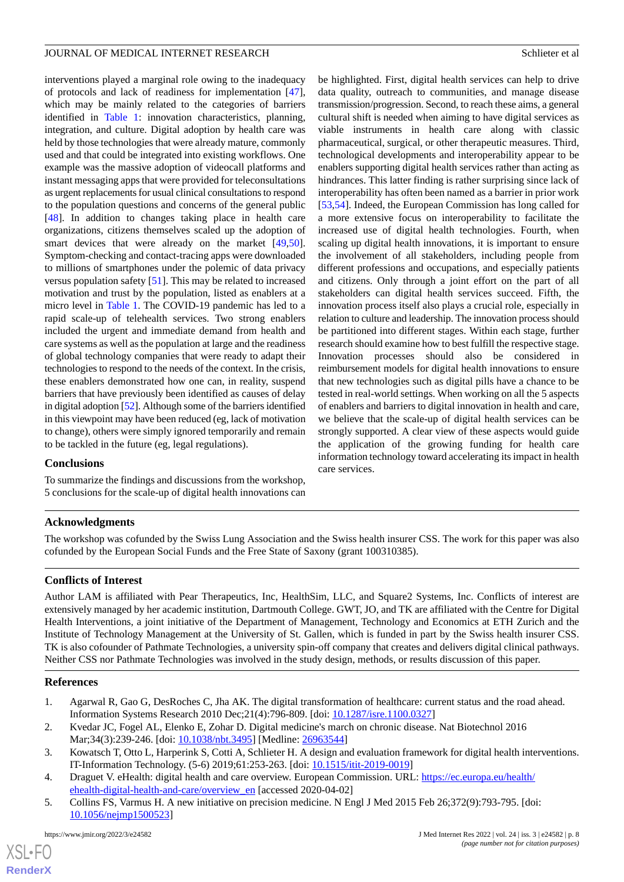interventions played a marginal role owing to the inadequacy of protocols and lack of readiness for implementation [[47\]](#page-9-16), which may be mainly related to the categories of barriers identified in [Table 1](#page-2-0): innovation characteristics, planning, integration, and culture. Digital adoption by health care was held by those technologies that were already mature, commonly used and that could be integrated into existing workflows. One example was the massive adoption of videocall platforms and instant messaging apps that were provided for teleconsultations as urgent replacements for usual clinical consultations to respond to the population questions and concerns of the general public [[48\]](#page-9-17). In addition to changes taking place in health care organizations, citizens themselves scaled up the adoption of smart devices that were already on the market [\[49](#page-9-18),[50\]](#page-9-19). Symptom-checking and contact-tracing apps were downloaded to millions of smartphones under the polemic of data privacy versus population safety [[51\]](#page-10-0). This may be related to increased motivation and trust by the population, listed as enablers at a micro level in [Table 1.](#page-2-0) The COVID-19 pandemic has led to a rapid scale-up of telehealth services. Two strong enablers included the urgent and immediate demand from health and care systems as well as the population at large and the readiness of global technology companies that were ready to adapt their technologies to respond to the needs of the context. In the crisis, these enablers demonstrated how one can, in reality, suspend barriers that have previously been identified as causes of delay in digital adoption [[52\]](#page-10-1). Although some of the barriers identified in this viewpoint may have been reduced (eg, lack of motivation to change), others were simply ignored temporarily and remain to be tackled in the future (eg, legal regulations).

#### **Conclusions**

To summarize the findings and discussions from the workshop, 5 conclusions for the scale-up of digital health innovations can

be highlighted. First, digital health services can help to drive data quality, outreach to communities, and manage disease transmission/progression. Second, to reach these aims, a general cultural shift is needed when aiming to have digital services as viable instruments in health care along with classic pharmaceutical, surgical, or other therapeutic measures. Third, technological developments and interoperability appear to be enablers supporting digital health services rather than acting as hindrances. This latter finding is rather surprising since lack of interoperability has often been named as a barrier in prior work [[53,](#page-10-2)[54\]](#page-10-3). Indeed, the European Commission has long called for a more extensive focus on interoperability to facilitate the increased use of digital health technologies. Fourth, when scaling up digital health innovations, it is important to ensure the involvement of all stakeholders, including people from different professions and occupations, and especially patients and citizens. Only through a joint effort on the part of all stakeholders can digital health services succeed. Fifth, the innovation process itself also plays a crucial role, especially in relation to culture and leadership. The innovation process should be partitioned into different stages. Within each stage, further research should examine how to best fulfill the respective stage. Innovation processes should also be considered in reimbursement models for digital health innovations to ensure that new technologies such as digital pills have a chance to be tested in real-world settings. When working on all the 5 aspects of enablers and barriers to digital innovation in health and care, we believe that the scale-up of digital health services can be strongly supported. A clear view of these aspects would guide the application of the growing funding for health care information technology toward accelerating its impact in health care services.

### **Acknowledgments**

The workshop was cofunded by the Swiss Lung Association and the Swiss health insurer CSS. The work for this paper was also cofunded by the European Social Funds and the Free State of Saxony (grant 100310385).

### **Conflicts of Interest**

<span id="page-7-0"></span>Author LAM is affiliated with Pear Therapeutics, Inc, HealthSim, LLC, and Square2 Systems, Inc. Conflicts of interest are extensively managed by her academic institution, Dartmouth College. GWT, JO, and TK are affiliated with the Centre for Digital Health Interventions, a joint initiative of the Department of Management, Technology and Economics at ETH Zurich and the Institute of Technology Management at the University of St. Gallen, which is funded in part by the Swiss health insurer CSS. TK is also cofounder of Pathmate Technologies, a university spin-off company that creates and delivers digital clinical pathways. Neither CSS nor Pathmate Technologies was involved in the study design, methods, or results discussion of this paper.

#### <span id="page-7-1"></span>**References**

- <span id="page-7-2"></span>1. Agarwal R, Gao G, DesRoches C, Jha AK. The digital transformation of healthcare: current status and the road ahead. Information Systems Research 2010 Dec;21(4):796-809. [doi: [10.1287/isre.1100.0327](http://dx.doi.org/10.1287/isre.1100.0327)]
- <span id="page-7-3"></span>2. Kvedar JC, Fogel AL, Elenko E, Zohar D. Digital medicine's march on chronic disease. Nat Biotechnol 2016 Mar;34(3):239-246. [doi: [10.1038/nbt.3495\]](http://dx.doi.org/10.1038/nbt.3495) [Medline: [26963544](http://www.ncbi.nlm.nih.gov/entrez/query.fcgi?cmd=Retrieve&db=PubMed&list_uids=26963544&dopt=Abstract)]
- 3. Kowatsch T, Otto L, Harperink S, Cotti A, Schlieter H. A design and evaluation framework for digital health interventions. IT-Information Technology. (5-6) 2019;61:253-263. [doi: [10.1515/itit-2019-0019\]](http://dx.doi.org/10.1515/itit-2019-0019)
- 4. Draguet V. eHealth: digital health and care overview. European Commission. URL: [https://ec.europa.eu/health/](https://ec.europa.eu/health/ehealth-digital-health-and-care/overview_en) [ehealth-digital-health-and-care/overview\\_en](https://ec.europa.eu/health/ehealth-digital-health-and-care/overview_en) [accessed 2020-04-02]
- 5. Collins FS, Varmus H. A new initiative on precision medicine. N Engl J Med 2015 Feb 26;372(9):793-795. [doi: [10.1056/nejmp1500523\]](http://dx.doi.org/10.1056/nejmp1500523)

[XSL](http://www.w3.org/Style/XSL)•FO **[RenderX](http://www.renderx.com/)**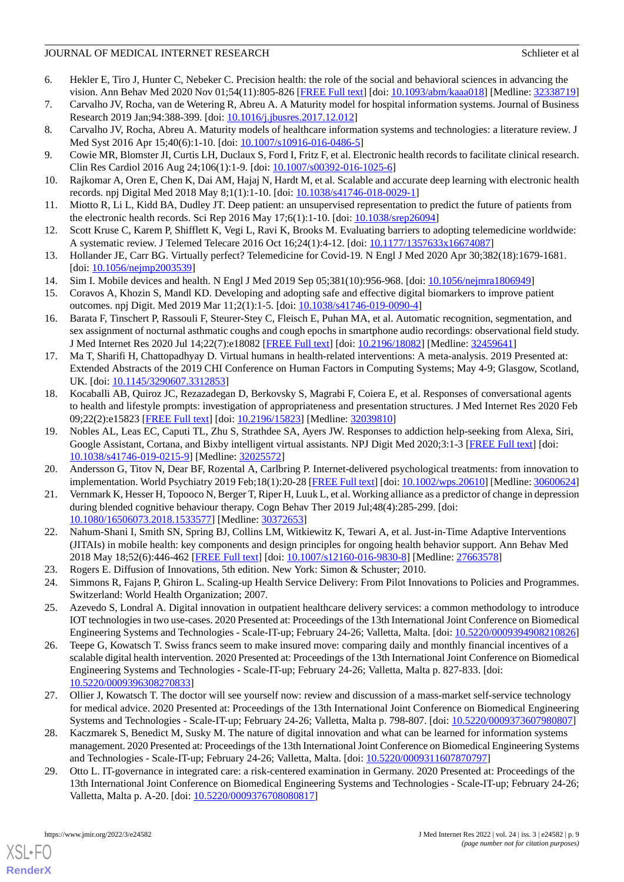- <span id="page-8-0"></span>6. Hekler E, Tiro J, Hunter C, Nebeker C. Precision health: the role of the social and behavioral sciences in advancing the vision. Ann Behav Med 2020 Nov 01;54(11):805-826 [\[FREE Full text\]](http://europepmc.org/abstract/MED/32338719) [doi: [10.1093/abm/kaaa018](http://dx.doi.org/10.1093/abm/kaaa018)] [Medline: [32338719](http://www.ncbi.nlm.nih.gov/entrez/query.fcgi?cmd=Retrieve&db=PubMed&list_uids=32338719&dopt=Abstract)]
- <span id="page-8-2"></span><span id="page-8-1"></span>7. Carvalho JV, Rocha, van de Wetering R, Abreu A. A Maturity model for hospital information systems. Journal of Business Research 2019 Jan;94:388-399. [doi: [10.1016/j.jbusres.2017.12.012\]](http://dx.doi.org/10.1016/j.jbusres.2017.12.012)
- <span id="page-8-3"></span>8. Carvalho JV, Rocha, Abreu A. Maturity models of healthcare information systems and technologies: a literature review. J Med Syst 2016 Apr 15;40(6):1-10. [doi:  $10.1007 \times 10916 - 016 - 0486 - 5$ ]
- 9. Cowie MR, Blomster JI, Curtis LH, Duclaux S, Ford I, Fritz F, et al. Electronic health records to facilitate clinical research. Clin Res Cardiol 2016 Aug 24;106(1):1-9. [doi: [10.1007/s00392-016-1025-6\]](http://dx.doi.org/10.1007/s00392-016-1025-6)
- <span id="page-8-4"></span>10. Rajkomar A, Oren E, Chen K, Dai AM, Hajaj N, Hardt M, et al. Scalable and accurate deep learning with electronic health records. npj Digital Med 2018 May 8;1(1):1-10. [doi: [10.1038/s41746-018-0029-1\]](http://dx.doi.org/10.1038/s41746-018-0029-1)
- <span id="page-8-5"></span>11. Miotto R, Li L, Kidd BA, Dudley JT. Deep patient: an unsupervised representation to predict the future of patients from the electronic health records. Sci Rep 2016 May 17;6(1):1-10. [doi: **[10.1038/srep26094\]](http://dx.doi.org/10.1038/srep26094)**
- <span id="page-8-6"></span>12. Scott Kruse C, Karem P, Shifflett K, Vegi L, Ravi K, Brooks M. Evaluating barriers to adopting telemedicine worldwide: A systematic review. J Telemed Telecare 2016 Oct 16;24(1):4-12. [doi: [10.1177/1357633x16674087](http://dx.doi.org/10.1177/1357633x16674087)]
- <span id="page-8-8"></span><span id="page-8-7"></span>13. Hollander JE, Carr BG. Virtually perfect? Telemedicine for Covid-19. N Engl J Med 2020 Apr 30;382(18):1679-1681. [doi: [10.1056/nejmp2003539](http://dx.doi.org/10.1056/nejmp2003539)]
- <span id="page-8-9"></span>14. Sim I. Mobile devices and health. N Engl J Med 2019 Sep 05;381(10):956-968. [doi: [10.1056/nejmra1806949\]](http://dx.doi.org/10.1056/nejmra1806949)
- 15. Coravos A, Khozin S, Mandl KD. Developing and adopting safe and effective digital biomarkers to improve patient outcomes. npj Digit. Med 2019 Mar 11;2(1):1-5. [doi: [10.1038/s41746-019-0090-4](http://dx.doi.org/10.1038/s41746-019-0090-4)]
- <span id="page-8-10"></span>16. Barata F, Tinschert P, Rassouli F, Steurer-Stey C, Fleisch E, Puhan MA, et al. Automatic recognition, segmentation, and sex assignment of nocturnal asthmatic coughs and cough epochs in smartphone audio recordings: observational field study. J Med Internet Res 2020 Jul 14;22(7):e18082 [\[FREE Full text](https://www.jmir.org/2020/7/e18082/)] [doi: [10.2196/18082\]](http://dx.doi.org/10.2196/18082) [Medline: [32459641\]](http://www.ncbi.nlm.nih.gov/entrez/query.fcgi?cmd=Retrieve&db=PubMed&list_uids=32459641&dopt=Abstract)
- 17. Ma T, Sharifi H, Chattopadhyay D. Virtual humans in health-related interventions: A meta-analysis. 2019 Presented at: Extended Abstracts of the 2019 CHI Conference on Human Factors in Computing Systems; May 4-9; Glasgow, Scotland, UK. [doi: [10.1145/3290607.3312853](http://dx.doi.org/10.1145/3290607.3312853)]
- <span id="page-8-11"></span>18. Kocaballi AB, Quiroz JC, Rezazadegan D, Berkovsky S, Magrabi F, Coiera E, et al. Responses of conversational agents to health and lifestyle prompts: investigation of appropriateness and presentation structures. J Med Internet Res 2020 Feb 09;22(2):e15823 [\[FREE Full text](https://www.jmir.org/2020/2/e15823/)] [doi: [10.2196/15823\]](http://dx.doi.org/10.2196/15823) [Medline: [32039810\]](http://www.ncbi.nlm.nih.gov/entrez/query.fcgi?cmd=Retrieve&db=PubMed&list_uids=32039810&dopt=Abstract)
- <span id="page-8-13"></span><span id="page-8-12"></span>19. Nobles AL, Leas EC, Caputi TL, Zhu S, Strathdee SA, Ayers JW. Responses to addiction help-seeking from Alexa, Siri, Google Assistant, Cortana, and Bixby intelligent virtual assistants. NPJ Digit Med 2020;3:1-3 [[FREE Full text](https://doi.org/10.1038/s41746-019-0215-9)] [doi: [10.1038/s41746-019-0215-9\]](http://dx.doi.org/10.1038/s41746-019-0215-9) [Medline: [32025572](http://www.ncbi.nlm.nih.gov/entrez/query.fcgi?cmd=Retrieve&db=PubMed&list_uids=32025572&dopt=Abstract)]
- <span id="page-8-14"></span>20. Andersson G, Titov N, Dear BF, Rozental A, Carlbring P. Internet-delivered psychological treatments: from innovation to implementation. World Psychiatry 2019 Feb;18(1):20-28 [[FREE Full text](https://doi.org/10.1002/wps.20610)] [doi: [10.1002/wps.20610\]](http://dx.doi.org/10.1002/wps.20610) [Medline: [30600624](http://www.ncbi.nlm.nih.gov/entrez/query.fcgi?cmd=Retrieve&db=PubMed&list_uids=30600624&dopt=Abstract)]
- 21. Vernmark K, Hesser H, Topooco N, Berger T, Riper H, Luuk L, et al. Working alliance as a predictor of change in depression during blended cognitive behaviour therapy. Cogn Behav Ther 2019 Jul;48(4):285-299. [doi: [10.1080/16506073.2018.1533577\]](http://dx.doi.org/10.1080/16506073.2018.1533577) [Medline: [30372653\]](http://www.ncbi.nlm.nih.gov/entrez/query.fcgi?cmd=Retrieve&db=PubMed&list_uids=30372653&dopt=Abstract)
- <span id="page-8-17"></span><span id="page-8-16"></span><span id="page-8-15"></span>22. Nahum-Shani I, Smith SN, Spring BJ, Collins LM, Witkiewitz K, Tewari A, et al. Just-in-Time Adaptive Interventions (JITAIs) in mobile health: key components and design principles for ongoing health behavior support. Ann Behav Med 2018 May 18;52(6):446-462 [\[FREE Full text\]](http://europepmc.org/abstract/MED/27663578) [doi: [10.1007/s12160-016-9830-8](http://dx.doi.org/10.1007/s12160-016-9830-8)] [Medline: [27663578\]](http://www.ncbi.nlm.nih.gov/entrez/query.fcgi?cmd=Retrieve&db=PubMed&list_uids=27663578&dopt=Abstract)
- 23. Rogers E. Diffusion of Innovations, 5th edition. New York: Simon & Schuster; 2010.
- 24. Simmons R, Fajans P, Ghiron L. Scaling-up Health Service Delivery: From Pilot Innovations to Policies and Programmes. Switzerland: World Health Organization; 2007.
- 25. Azevedo S, Londral A. Digital innovation in outpatient healthcare delivery services: a common methodology to introduce IOT technologies in two use-cases. 2020 Presented at: Proceedings of the 13th International Joint Conference on Biomedical Engineering Systems and Technologies - Scale-IT-up; February 24-26; Valletta, Malta. [doi: [10.5220/0009394908210826](http://dx.doi.org/10.5220/0009394908210826)]
- 26. Teepe G, Kowatsch T. Swiss francs seem to make insured move: comparing daily and monthly financial incentives of a scalable digital health intervention. 2020 Presented at: Proceedings of the 13th International Joint Conference on Biomedical Engineering Systems and Technologies - Scale-IT-up; February 24-26; Valletta, Malta p. 827-833. [doi: [10.5220/0009396308270833\]](http://dx.doi.org/10.5220/0009396308270833)
- <span id="page-8-18"></span>27. Ollier J, Kowatsch T. The doctor will see yourself now: review and discussion of a mass-market self-service technology for medical advice. 2020 Presented at: Proceedings of the 13th International Joint Conference on Biomedical Engineering Systems and Technologies - Scale-IT-up; February 24-26; Valletta, Malta p. 798-807. [doi: [10.5220/0009373607980807](http://dx.doi.org/10.5220/0009373607980807)]
- 28. Kaczmarek S, Benedict M, Susky M. The nature of digital innovation and what can be learned for information systems management. 2020 Presented at: Proceedings of the 13th International Joint Conference on Biomedical Engineering Systems and Technologies - Scale-IT-up; February 24-26; Valletta, Malta. [doi: [10.5220/0009311607870797\]](http://dx.doi.org/10.5220/0009311607870797)
- 29. Otto L. IT-governance in integrated care: a risk-centered examination in Germany. 2020 Presented at: Proceedings of the 13th International Joint Conference on Biomedical Engineering Systems and Technologies - Scale-IT-up; February 24-26; Valletta, Malta p. A-20. [doi: [10.5220/0009376708080817](http://dx.doi.org/10.5220/0009376708080817)]

[XSL](http://www.w3.org/Style/XSL)•FO **[RenderX](http://www.renderx.com/)**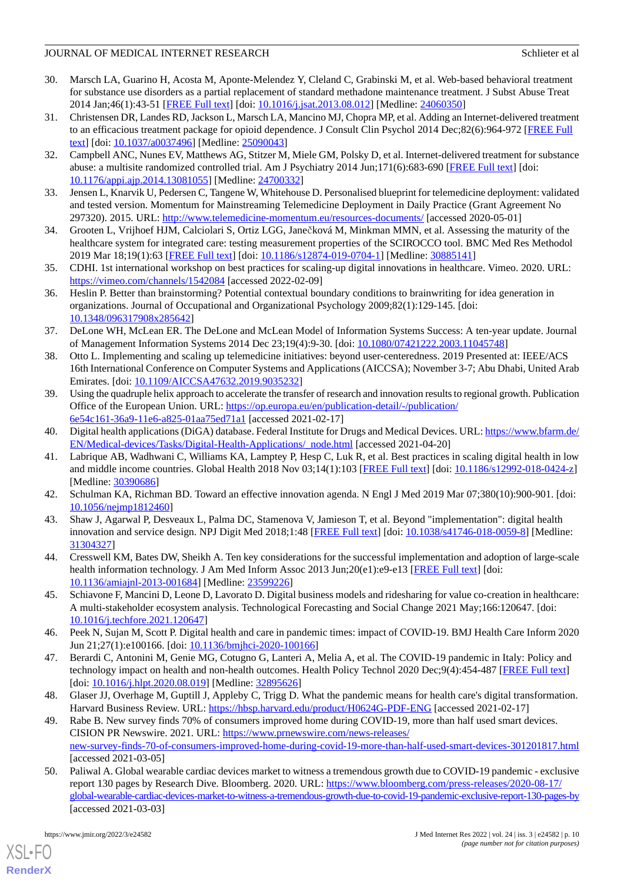- <span id="page-9-0"></span>30. Marsch LA, Guarino H, Acosta M, Aponte-Melendez Y, Cleland C, Grabinski M, et al. Web-based behavioral treatment for substance use disorders as a partial replacement of standard methadone maintenance treatment. J Subst Abuse Treat 2014 Jan;46(1):43-51 [[FREE Full text](http://europepmc.org/abstract/MED/24060350)] [doi: [10.1016/j.jsat.2013.08.012](http://dx.doi.org/10.1016/j.jsat.2013.08.012)] [Medline: [24060350](http://www.ncbi.nlm.nih.gov/entrez/query.fcgi?cmd=Retrieve&db=PubMed&list_uids=24060350&dopt=Abstract)]
- 31. Christensen DR, Landes RD, Jackson L, Marsch LA, Mancino MJ, Chopra MP, et al. Adding an Internet-delivered treatment to an efficacious treatment package for opioid dependence. J Consult Clin Psychol 2014 Dec;82(6):964-972 [[FREE Full](http://europepmc.org/abstract/MED/25090043) [text](http://europepmc.org/abstract/MED/25090043)] [doi: [10.1037/a0037496](http://dx.doi.org/10.1037/a0037496)] [Medline: [25090043](http://www.ncbi.nlm.nih.gov/entrez/query.fcgi?cmd=Retrieve&db=PubMed&list_uids=25090043&dopt=Abstract)]
- <span id="page-9-1"></span>32. Campbell ANC, Nunes EV, Matthews AG, Stitzer M, Miele GM, Polsky D, et al. Internet-delivered treatment for substance abuse: a multisite randomized controlled trial. Am J Psychiatry 2014 Jun;171(6):683-690 [\[FREE Full text\]](http://europepmc.org/abstract/MED/24700332) [doi: [10.1176/appi.ajp.2014.13081055\]](http://dx.doi.org/10.1176/appi.ajp.2014.13081055) [Medline: [24700332](http://www.ncbi.nlm.nih.gov/entrez/query.fcgi?cmd=Retrieve&db=PubMed&list_uids=24700332&dopt=Abstract)]
- <span id="page-9-3"></span><span id="page-9-2"></span>33. Jensen L, Knarvik U, Pedersen C, Tangene W, Whitehouse D. Personalised blueprint for telemedicine deployment: validated and tested version. Momentum for Mainstreaming Telemedicine Deployment in Daily Practice (Grant Agreement No 297320). 2015. URL:<http://www.telemedicine-momentum.eu/resources-documents/> [accessed 2020-05-01]
- <span id="page-9-4"></span>34. Grooten L, Vrijhoef HJM, Calciolari S, Ortiz LGG, Janečková M, Minkman MMN, et al. Assessing the maturity of the healthcare system for integrated care: testing measurement properties of the SCIROCCO tool. BMC Med Res Methodol 2019 Mar 18;19(1):63 [\[FREE Full text\]](https://bmcmedresmethodol.biomedcentral.com/articles/10.1186/s12874-019-0704-1) [doi: [10.1186/s12874-019-0704-1](http://dx.doi.org/10.1186/s12874-019-0704-1)] [Medline: [30885141\]](http://www.ncbi.nlm.nih.gov/entrez/query.fcgi?cmd=Retrieve&db=PubMed&list_uids=30885141&dopt=Abstract)
- <span id="page-9-5"></span>35. CDHI. 1st international workshop on best practices for scaling-up digital innovations in healthcare. Vimeo. 2020. URL: <https://vimeo.com/channels/1542084> [accessed 2022-02-09]
- <span id="page-9-6"></span>36. Heslin P. Better than brainstorming? Potential contextual boundary conditions to brainwriting for idea generation in organizations. Journal of Occupational and Organizational Psychology 2009;82(1):129-145. [doi: [10.1348/096317908x285642\]](http://dx.doi.org/10.1348/096317908x285642)
- <span id="page-9-7"></span>37. DeLone WH, McLean ER. The DeLone and McLean Model of Information Systems Success: A ten-year update. Journal of Management Information Systems 2014 Dec 23;19(4):9-30. [doi: [10.1080/07421222.2003.11045748\]](http://dx.doi.org/10.1080/07421222.2003.11045748)
- <span id="page-9-8"></span>38. Otto L. Implementing and scaling up telemedicine initiatives: beyond user-centeredness. 2019 Presented at: IEEE/ACS 16th International Conference on Computer Systems and Applications (AICCSA); November 3-7; Abu Dhabi, United Arab Emirates. [doi: [10.1109/AICCSA47632.2019.9035232](http://dx.doi.org/10.1109/AICCSA47632.2019.9035232)]
- <span id="page-9-10"></span><span id="page-9-9"></span>39. Using the quadruple helix approach to accelerate the transfer of research and innovation results to regional growth. Publication Office of the European Union. URL: [https://op.europa.eu/en/publication-detail/-/publication/](https://op.europa.eu/en/publication-detail/-/publication/6e54c161-36a9-11e6-a825-01aa75ed71a1) [6e54c161-36a9-11e6-a825-01aa75ed71a1](https://op.europa.eu/en/publication-detail/-/publication/6e54c161-36a9-11e6-a825-01aa75ed71a1) [accessed 2021-02-17]
- 40. Digital health applications (DiGA) database. Federal Institute for Drugs and Medical Devices. URL: [https://www.bfarm.de/](https://www.bfarm.de/EN/Medical-devices/Tasks/Digital-Health-Applications/_node.html) [EN/Medical-devices/Tasks/Digital-Health-Applications/\\_node.html](https://www.bfarm.de/EN/Medical-devices/Tasks/Digital-Health-Applications/_node.html) [accessed 2021-04-20]
- <span id="page-9-12"></span><span id="page-9-11"></span>41. Labrique AB, Wadhwani C, Williams KA, Lamptey P, Hesp C, Luk R, et al. Best practices in scaling digital health in low and middle income countries. Global Health 2018 Nov 03;14(1):103 [\[FREE Full text\]](https://globalizationandhealth.biomedcentral.com/articles/10.1186/s12992-018-0424-z) [doi: [10.1186/s12992-018-0424-z\]](http://dx.doi.org/10.1186/s12992-018-0424-z) [Medline: [30390686](http://www.ncbi.nlm.nih.gov/entrez/query.fcgi?cmd=Retrieve&db=PubMed&list_uids=30390686&dopt=Abstract)]
- <span id="page-9-13"></span>42. Schulman KA, Richman BD. Toward an effective innovation agenda. N Engl J Med 2019 Mar 07;380(10):900-901. [doi: [10.1056/nejmp1812460\]](http://dx.doi.org/10.1056/nejmp1812460)
- <span id="page-9-14"></span>43. Shaw J, Agarwal P, Desveaux L, Palma DC, Stamenova V, Jamieson T, et al. Beyond "implementation": digital health innovation and service design. NPJ Digit Med 2018;1:48 [[FREE Full text](https://doi.org/10.1038/s41746-018-0059-8)] [doi: [10.1038/s41746-018-0059-8\]](http://dx.doi.org/10.1038/s41746-018-0059-8) [Medline: [31304327](http://www.ncbi.nlm.nih.gov/entrez/query.fcgi?cmd=Retrieve&db=PubMed&list_uids=31304327&dopt=Abstract)]
- <span id="page-9-15"></span>44. Cresswell KM, Bates DW, Sheikh A. Ten key considerations for the successful implementation and adoption of large-scale health information technology. J Am Med Inform Assoc 2013 Jun;20(e1):e9-e13 [[FREE Full text](http://europepmc.org/abstract/MED/23599226)] [doi: [10.1136/amiajnl-2013-001684](http://dx.doi.org/10.1136/amiajnl-2013-001684)] [Medline: [23599226](http://www.ncbi.nlm.nih.gov/entrez/query.fcgi?cmd=Retrieve&db=PubMed&list_uids=23599226&dopt=Abstract)]
- <span id="page-9-16"></span>45. Schiavone F, Mancini D, Leone D, Lavorato D. Digital business models and ridesharing for value co-creation in healthcare: A multi-stakeholder ecosystem analysis. Technological Forecasting and Social Change 2021 May;166:120647. [doi: [10.1016/j.techfore.2021.120647\]](http://dx.doi.org/10.1016/j.techfore.2021.120647)
- <span id="page-9-17"></span>46. Peek N, Sujan M, Scott P. Digital health and care in pandemic times: impact of COVID-19. BMJ Health Care Inform 2020 Jun 21;27(1):e100166. [doi: [10.1136/bmjhci-2020-100166\]](http://dx.doi.org/10.1136/bmjhci-2020-100166)
- <span id="page-9-18"></span>47. Berardi C, Antonini M, Genie MG, Cotugno G, Lanteri A, Melia A, et al. The COVID-19 pandemic in Italy: Policy and technology impact on health and non-health outcomes. Health Policy Technol 2020 Dec;9(4):454-487 [[FREE Full text](http://europepmc.org/abstract/MED/32895626)] [doi: [10.1016/j.hlpt.2020.08.019](http://dx.doi.org/10.1016/j.hlpt.2020.08.019)] [Medline: [32895626](http://www.ncbi.nlm.nih.gov/entrez/query.fcgi?cmd=Retrieve&db=PubMed&list_uids=32895626&dopt=Abstract)]
- <span id="page-9-19"></span>48. Glaser JJ, Overhage M, Guptill J, Appleby C, Trigg D. What the pandemic means for health care's digital transformation. Harvard Business Review. URL:<https://hbsp.harvard.edu/product/H0624G-PDF-ENG> [accessed 2021-02-17]
- 49. Rabe B. New survey finds 70% of consumers improved home during COVID-19, more than half used smart devices. CISION PR Newswire. 2021. URL: [https://www.prnewswire.com/news-releases/](https://www.prnewswire.com/news-releases/new-survey-finds-70-of-consumers-improved-home-during-covid-19-more-than-half-used-smart-devices-301201817.html) [new-survey-finds-70-of-consumers-improved-home-during-covid-19-more-than-half-used-smart-devices-301201817.html](https://www.prnewswire.com/news-releases/new-survey-finds-70-of-consumers-improved-home-during-covid-19-more-than-half-used-smart-devices-301201817.html) [accessed 2021-03-05]
- 50. Paliwal A. Global wearable cardiac devices market to witness a tremendous growth due to COVID-19 pandemic exclusive report 130 pages by Research Dive. Bloomberg. 2020. URL: [https://www.bloomberg.com/press-releases/2020-08-17/](https://www.bloomberg.com/press-releases/2020-08-17/global-wearable-cardiac-devices-market-to-witness-a-tremendous-growth-due-to-covid-19-pandemic-exclusive-report-130-pages-by) [global-wearable-cardiac-devices-market-to-witness-a-tremendous-growth-due-to-covid-19-pandemic-exclusive-report-130-pages-by](https://www.bloomberg.com/press-releases/2020-08-17/global-wearable-cardiac-devices-market-to-witness-a-tremendous-growth-due-to-covid-19-pandemic-exclusive-report-130-pages-by) [accessed 2021-03-03]

[XSL](http://www.w3.org/Style/XSL)•FO **[RenderX](http://www.renderx.com/)**